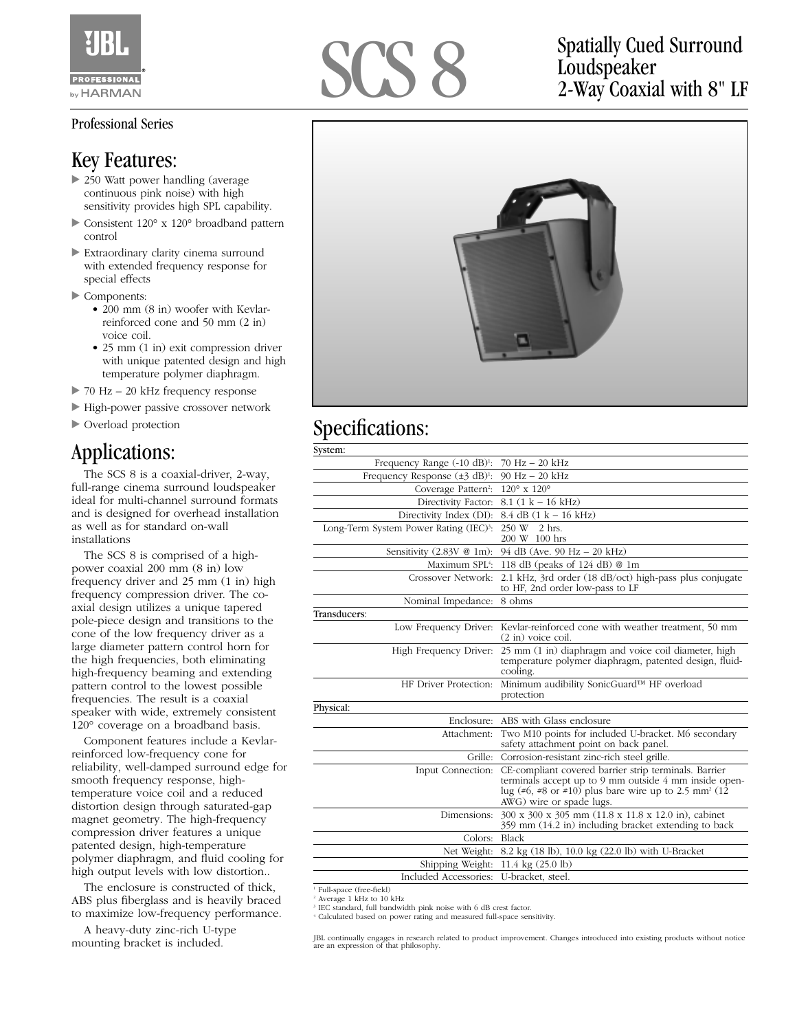

## Professional Series

## Key Features:

- ▶ 250 Watt power handling (average continuous pink noise) with high sensitivity provides high SPL capability.
- ► Consistent 120° x 120° broadband pattern control
- Extraordinary clarity cinema surround with extended frequency response for special effects
- Components:
	- 200 mm (8 in) woofer with Kevlarreinforced cone and 50 mm (2 in) voice coil.
	- 25 mm (1 in) exit compression driver with unique patented design and high temperature polymer diaphragm.
- ► 70 Hz 20 kHz frequency response
- High-power passive crossover network
- Overload protection

## Applications:

The SCS 8 is a coaxial-driver, 2-way, full-range cinema surround loudspeaker ideal for multi-channel surround formats and is designed for overhead installation as well as for standard on-wall installations

The SCS 8 is comprised of a highpower coaxial 200 mm (8 in) low frequency driver and 25 mm (1 in) high frequency compression driver. The coaxial design utilizes a unique tapered pole-piece design and transitions to the cone of the low frequency driver as a large diameter pattern control horn for the high frequencies, both eliminating high-frequency beaming and extending pattern control to the lowest possible frequencies. The result is a coaxial speaker with wide, extremely consistent 120° coverage on a broadband basis.

Component features include a Kevlarreinforced low-frequency cone for reliability, well-damped surround edge for smooth frequency response, hightemperature voice coil and a reduced distortion design through saturated-gap magnet geometry. The high-frequency compression driver features a unique patented design, high-temperature polymer diaphragm, and fluid cooling for high output levels with low distortion..

The enclosure is constructed of thick, ABS plus fiberglass and is heavily braced to maximize low-frequency performance.

A heavy-duty zinc-rich U-type mounting bracket is included.



Loudspeaker 2-Way Coaxial with 8" LF



## Specifications:

| System:                                            |                                                                                                                                                                                                                 |
|----------------------------------------------------|-----------------------------------------------------------------------------------------------------------------------------------------------------------------------------------------------------------------|
| Frequency Range $(-10 \text{ dB})$ <sup>1</sup> :  | $70$ Hz $- 20$ kHz                                                                                                                                                                                              |
| Frequency Response $(\pm 3 \text{ dB})^1$ :        | $90 \text{ Hz} - 20 \text{ kHz}$                                                                                                                                                                                |
| Coverage Pattern <sup>2</sup> :                    | $120^{\circ}$ x $120^{\circ}$                                                                                                                                                                                   |
| Directivity Factor:                                | $8.1$ (1 k – 16 kHz)                                                                                                                                                                                            |
| Directivity Index (DI):                            | $8.4$ dB $(1$ k $-$ 16 kHz)                                                                                                                                                                                     |
| Long-Term System Power Rating (IEC) <sup>3</sup> : | 250 W 2 hrs.<br>200 W 100 hrs                                                                                                                                                                                   |
| Sensitivity (2.83V @ 1m):                          | 94 dB (Ave. 90 Hz - 20 kHz)                                                                                                                                                                                     |
| Maximum SPL4:                                      | 118 dB (peaks of 124 dB) @ 1m                                                                                                                                                                                   |
| Crossover Network:                                 | 2.1 kHz, 3rd order (18 dB/oct) high-pass plus conjugate<br>to HF, 2nd order low-pass to LF                                                                                                                      |
| Nominal Impedance:                                 | 8 ohms                                                                                                                                                                                                          |
| Transducers:                                       |                                                                                                                                                                                                                 |
| Low Frequency Driver:                              | Kevlar-reinforced cone with weather treatment, 50 mm<br>$(2 \text{ in})$ voice coil.                                                                                                                            |
| High Frequency Driver:                             | 25 mm (1 in) diaphragm and voice coil diameter, high<br>temperature polymer diaphragm, patented design, fluid-<br>cooling.                                                                                      |
| HF Driver Protection:                              | Minimum audibility SonicGuard™ HF overload<br>protection                                                                                                                                                        |
| Physical:                                          |                                                                                                                                                                                                                 |
|                                                    | Enclosure: ABS with Glass enclosure                                                                                                                                                                             |
| Attachment:                                        | Two M10 points for included U-bracket. M6 secondary<br>safety attachment point on back panel.                                                                                                                   |
|                                                    | Grille: Corrosion-resistant zinc-rich steel grille.                                                                                                                                                             |
| Input Connection:                                  | CE-compliant covered barrier strip terminals. Barrier<br>terminals accept up to 9 mm outside 4 mm inside open-<br>lug (#6, #8 or #10) plus bare wire up to 2.5 mm <sup>2</sup> (12)<br>AWG) wire or spade lugs. |
| Dimensions:                                        | 300 x 300 x 305 mm (11.8 x 11.8 x 12.0 in), cabinet<br>359 mm (14.2 in) including bracket extending to back                                                                                                     |
| Colors:                                            | Black                                                                                                                                                                                                           |
| Net Weight:                                        | 8.2 kg (18 lb), 10.0 kg (22.0 lb) with U-Bracket                                                                                                                                                                |
| Shipping Weight:                                   | 11.4 kg (25.0 lb)                                                                                                                                                                                               |
| Included Accessories:                              | U-bracket, steel.                                                                                                                                                                                               |

<sup>1</sup> Full-space (free-field)

<sup>2</sup> Average 1 kHz to 10 kHz

<sup>3</sup> IEC standard, full bandwidth pink noise with 6 dB crest factor. <sup>4</sup> Calculated based on power rating and measured full-space sensitivity.

JBL continually engages in research related to product improvement. Changes introduced into existing products without notice are an expression of that philosophy.